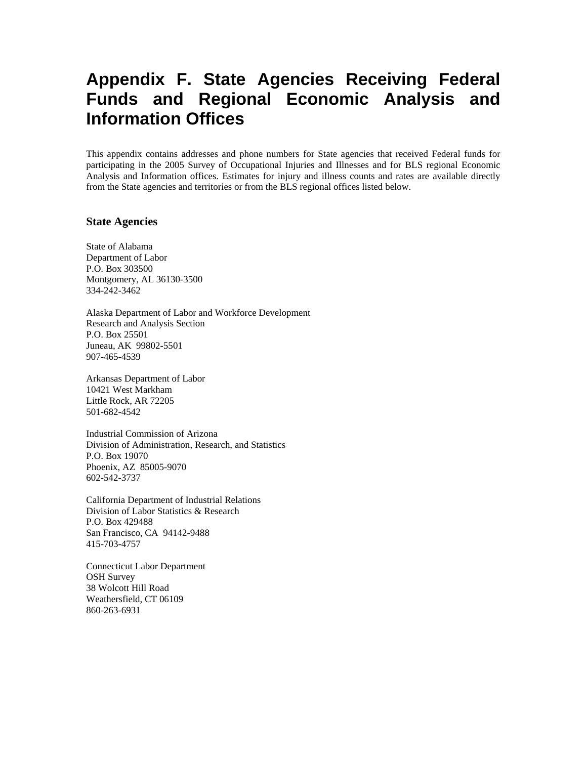## **Appendix F. State Agencies Receiving Federal Funds and Regional Economic Analysis and Information Offices**

This appendix contains addresses and phone numbers for State agencies that received Federal funds for participating in the 2005 Survey of Occupational Injuries and Illnesses and for BLS regional Economic Analysis and Information offices. Estimates for injury and illness counts and rates are available directly from the State agencies and territories or from the BLS regional offices listed below.

## **State Agencies**

State of Alabama Department of Labor P.O. Box 303500 Montgomery, AL 36130-3500 334-242-3462

Alaska Department of Labor and Workforce Development Research and Analysis Section P.O. Box 25501 Juneau, AK 99802-5501 907-465-4539

Arkansas Department of Labor 10421 West Markham Little Rock, AR 72205 501-682-4542

Industrial Commission of Arizona Division of Administration, Research, and Statistics P.O. Box 19070 Phoenix, AZ 85005-9070 602-542-3737

California Department of Industrial Relations Division of Labor Statistics & Research P.O. Box 429488 San Francisco, CA 94142-9488 415-703-4757

Connecticut Labor Department OSH Survey 38 Wolcott Hill Road Weathersfield, CT 06109 860-263-6931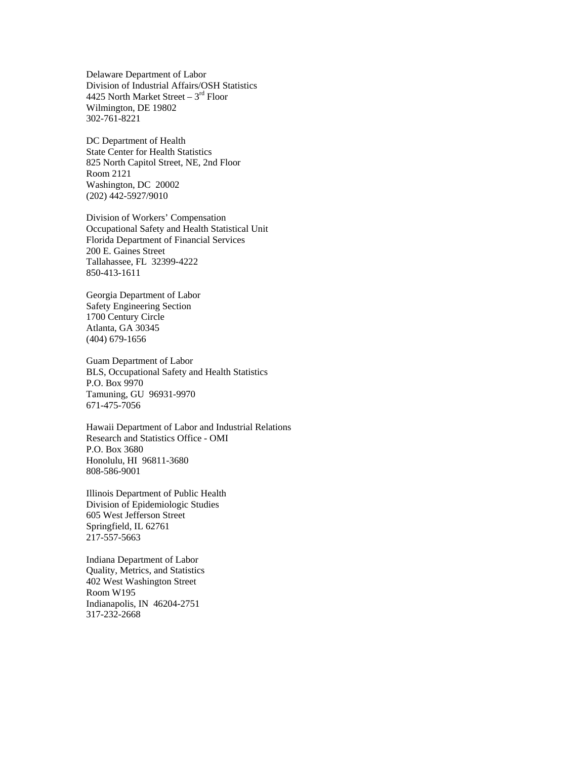Delaware Department of Labor Division of Industrial Affairs/OSH Statistics 4425 North Market Street – 3rd Floor Wilmington, DE 19802 302-761-8221

DC Department of Health State Center for Health Statistics 825 North Capitol Street, NE, 2nd Floor Room 2121 Washington, DC 20002 (202) 442-5927/9010

Division of Workers' Compensation Occupational Safety and Health Statistical Unit Florida Department of Financial Services 200 E. Gaines Street Tallahassee, FL 32399-4222 850-413-1611

Georgia Department of Labor Safety Engineering Section 1700 Century Circle Atlanta, GA 30345 (404) 679-1656

Guam Department of Labor BLS, Occupational Safety and Health Statistics P.O. Box 9970 Tamuning, GU 96931-9970 671-475-7056

Hawaii Department of Labor and Industrial Relations Research and Statistics Office - OMI P.O. Box 3680 Honolulu, HI 96811-3680 808-586-9001

Illinois Department of Public Health Division of Epidemiologic Studies 605 West Jefferson Street Springfield, IL 62761 217-557-5663

Indiana Department of Labor Quality, Metrics, and Statistics 402 West Washington Street Room W195 Indianapolis, IN 46204-2751 317-232-2668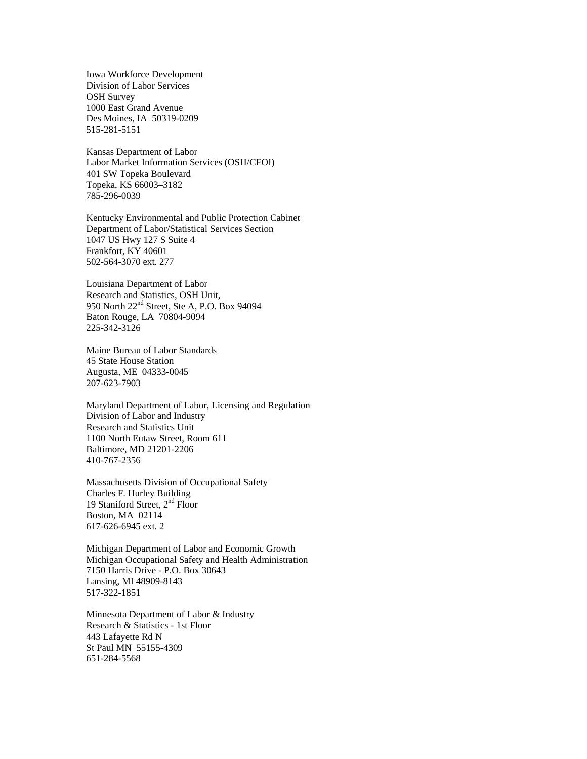Iowa Workforce Development Division of Labor Services OSH Survey 1000 East Grand Avenue Des Moines, IA 50319-0209 515-281-5151

Kansas Department of Labor Labor Market Information Services (OSH/CFOI) 401 SW Topeka Boulevard Topeka, KS 66003–3182 785-296-0039

Kentucky Environmental and Public Protection Cabinet Department of Labor/Statistical Services Section 1047 US Hwy 127 S Suite 4 Frankfort, KY 40601 502-564-3070 ext. 277

Louisiana Department of Labor Research and Statistics, OSH Unit, 950 North 22nd Street, Ste A, P.O. Box 94094 Baton Rouge, LA 70804-9094 225-342-3126

Maine Bureau of Labor Standards 45 State House Station Augusta, ME 04333-0045 207-623-7903

Maryland Department of Labor, Licensing and Regulation Division of Labor and Industry Research and Statistics Unit 1100 North Eutaw Street, Room 611 Baltimore, MD 21201-2206 410-767-2356

Massachusetts Division of Occupational Safety Charles F. Hurley Building 19 Staniford Street, 2<sup>nd</sup> Floor Boston, MA 02114 617-626-6945 ext. 2

Michigan Department of Labor and Economic Growth Michigan Occupational Safety and Health Administration 7150 Harris Drive - P.O. Box 30643 Lansing, MI 48909-8143 517-322-1851

Minnesota Department of Labor & Industry Research & Statistics - 1st Floor 443 Lafayette Rd N St Paul MN 55155-4309 651-284-5568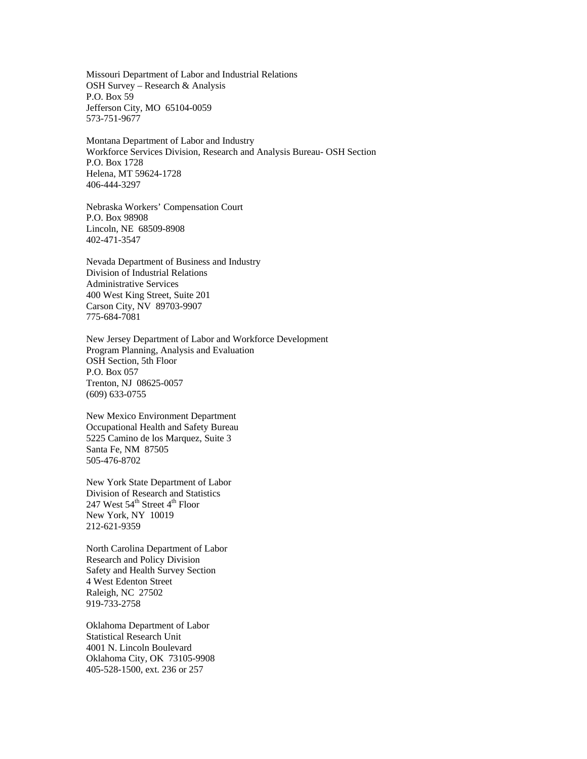Missouri Department of Labor and Industrial Relations OSH Survey – Research & Analysis P.O. Box 59 Jefferson City, MO 65104-0059 573-751-9677

Montana Department of Labor and Industry Workforce Services Division, Research and Analysis Bureau- OSH Section P.O. Box 1728 Helena, MT 59624-1728 406-444-3297

Nebraska Workers' Compensation Court P.O. Box 98908 Lincoln, NE 68509-8908 402-471-3547

Nevada Department of Business and Industry Division of Industrial Relations Administrative Services 400 West King Street, Suite 201 Carson City, NV 89703-9907 775-684-7081

New Jersey Department of Labor and Workforce Development Program Planning, Analysis and Evaluation OSH Section, 5th Floor P.O. Box 057 Trenton, NJ 08625-0057 (609) 633-0755

New Mexico Environment Department Occupational Health and Safety Bureau 5225 Camino de los Marquez, Suite 3 Santa Fe, NM 87505 505-476-8702

New York State Department of Labor Division of Research and Statistics 247 West  $54^{\text{th}}$  Street  $4^{\text{th}}$  Floor New York, NY 10019 212-621-9359

North Carolina Department of Labor Research and Policy Division Safety and Health Survey Section 4 West Edenton Street Raleigh, NC 27502 919-733-2758

Oklahoma Department of Labor Statistical Research Unit 4001 N. Lincoln Boulevard Oklahoma City, OK 73105-9908 405-528-1500, ext. 236 or 257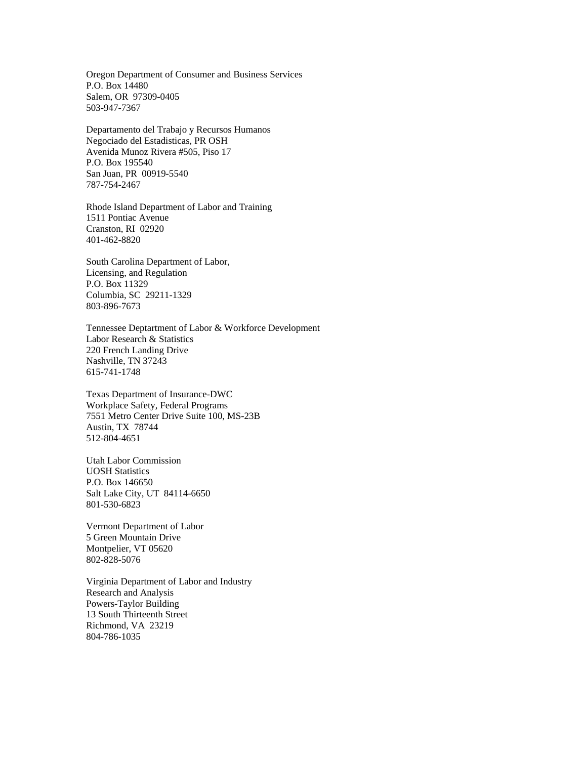Oregon Department of Consumer and Business Services P.O. Box 14480 Salem, OR 97309-0405 503-947-7367

Departamento del Trabajo y Recursos Humanos Negociado del Estadisticas, PR OSH Avenida Munoz Rivera #505, Piso 17 P.O. Box 195540 San Juan, PR 00919-5540 787-754-2467

Rhode Island Department of Labor and Training 1511 Pontiac Avenue Cranston, RI 02920 401-462-8820

South Carolina Department of Labor, Licensing, and Regulation P.O. Box 11329 Columbia, SC 29211-1329 803-896-7673

Tennessee Deptartment of Labor & Workforce Development Labor Research & Statistics 220 French Landing Drive Nashville, TN 37243 615-741-1748

Texas Department of Insurance-DWC Workplace Safety, Federal Programs 7551 Metro Center Drive Suite 100, MS-23B Austin, TX 78744 512-804-4651

Utah Labor Commission UOSH Statistics P.O. Box 146650 Salt Lake City, UT 84114-6650 801-530-6823

Vermont Department of Labor 5 Green Mountain Drive Montpelier, VT 05620 802-828-5076

Virginia Department of Labor and Industry Research and Analysis Powers-Taylor Building 13 South Thirteenth Street Richmond, VA 23219 804-786-1035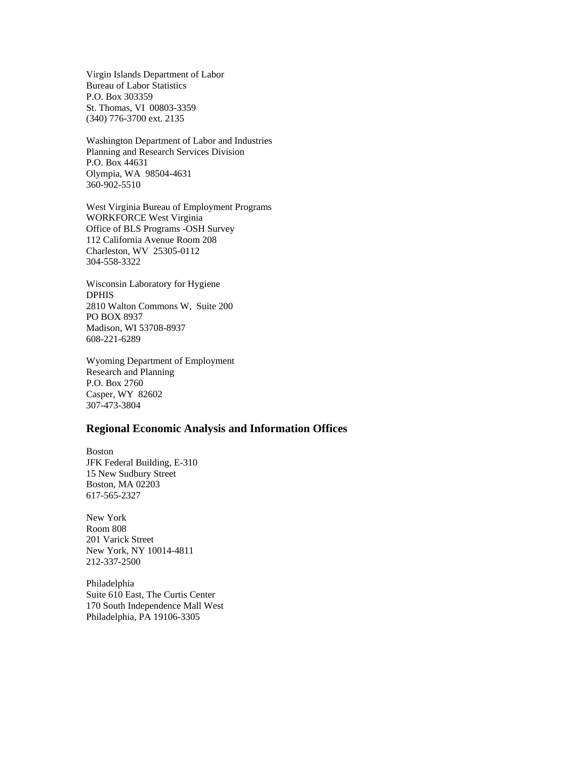Virgin Islands Department of Labor Bureau of Labor Statistics P.O. Box 303359 St. Thomas, VI 00803-3359 (340) 776-3700 ext. 2135

Washington Department of Labor and Industries Planning and Research Services Division P.O. Box 44631 Olympia, WA 98504-4631 360-902-5510

West Virginia Bureau of Employment Programs WORKFORCE West Virginia Office of BLS Programs -OSH Survey 112 California Avenue Room 208 Charleston, WV 25305-0112 304-558-3322

Wisconsin Laboratory for Hygiene DPHIS 2810 Walton Commons W, Suite 200 PO BOX 8937 Madison, WI 53708-8937 608-221-6289

Wyoming Department of Employment Research and Planning P.O. Box 2760 Casper, WY 82602 307-473-3804

## **Regional Economic Analysis and Information Offices**

Boston JFK Federal Building, E-310 15 New Sudbury Street Boston, MA 02203 617-565-2327

New York Room 808 201 Varick Street New York, NY 10014-4811 212-337-2500

Philadelphia Suite 610 East, The Curtis Center 170 South Independence Mall West Philadelphia, PA 19106-3305